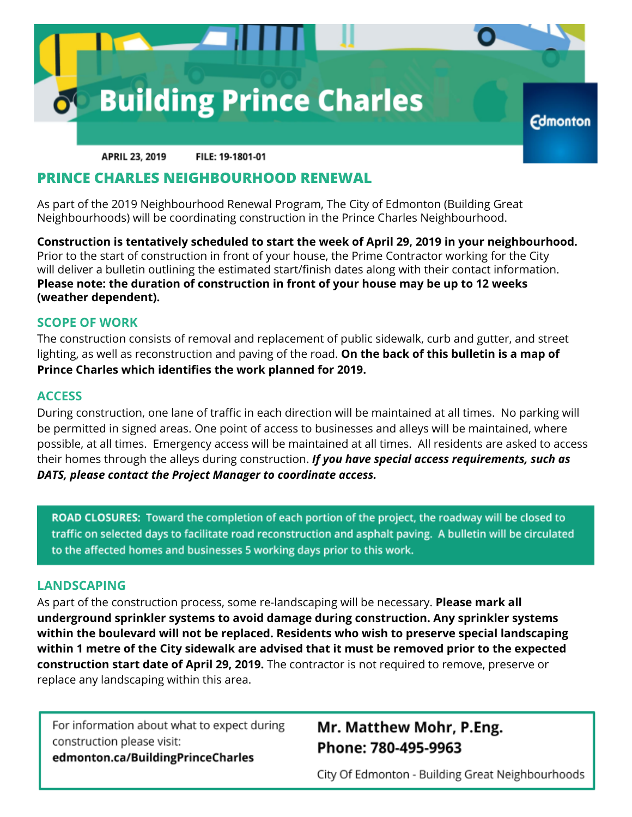

**APRIL 23, 2019** FILE: 19-1801-01

### **PRINCE CHARLES NEIGHBOURHOOD RENEWAL**

As part of the 2019 Neighbourhood Renewal Program, The City of Edmonton (Building Great Neighbourhoods) will be coordinating construction in the Prince Charles Neighbourhood.

**Construction is tentatively scheduled to start the week of April 29, 2019 in your neighbourhood.** Prior to the start of construction in front of your house, the Prime Contractor working for the City will deliver a bulletin outlining the estimated start/finish dates along with their contact information. **Please note: the duration of construction in front of your house may be up to 12 weeks (weather dependent).**

#### **SCOPE OF WORK**

The construction consists of removal and replacement of public sidewalk, curb and gutter, and street lighting, as well as reconstruction and paving of the road. **On the back of this bulletin is a map of Prince Charles which identifies the work planned for 2019.**

#### **ACCESS**

During construction, one lane of traffic in each direction will be maintained at all times. No parking will be permitted in signed areas. One point of access to businesses and alleys will be maintained, where possible, at all times. Emergency access will be maintained at all times. All residents are asked to access their homes through the alleys during construction. *If you have special access requirements, such as DATS, please contact the Project Manager to coordinate access.*

ROAD CLOSURES: Toward the completion of each portion of the project, the roadway will be closed to traffic on selected days to facilitate road reconstruction and asphalt paving. A bulletin will be circulated to the affected homes and businesses 5 working days prior to this work.

#### **LANDSCAPING**

As part of the construction process, some re-landscaping will be necessary. **Please mark all underground sprinkler systems to avoid damage during construction. Any sprinkler systems within the boulevard will not be replaced. Residents who wish to preserve special landscaping within 1 metre of the City sidewalk are advised that it must be removed prior to the expected construction start date of April 29, 2019.** The contractor is not required to remove, preserve or replace any landscaping within this area.

For information about what to expect during construction please visit: edmonton.ca/BuildingPrinceCharles

## Mr. Matthew Mohr, P.Eng. Phone: 780-495-9963

City Of Edmonton - Building Great Neighbourhoods